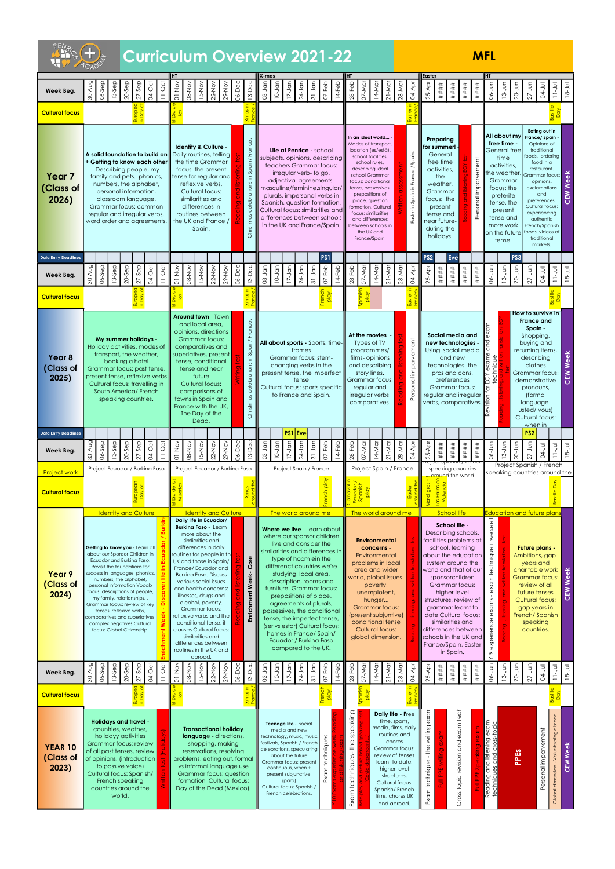|                                                                  |                                                                                                                                                                                                                                                                                                                                                                                                                                                                                |                                                                                                                                                                                                                                                                                                                                                                                                                                                                                                                                                                                      | <b>Curriculum Overview 2021-22</b>                                                                                                                                                                                                                                                                                                                                                                                                                                                                                                                                                                                                                                                                                                                                                                                          |                                                                                                                                                                                                                                                                                                   | <b>MFL</b>                                                                                                                                                                                                                                                                                                                                                                                                                                                                                      |                                                                                                                                                                                                                                                                                                                         |  |  |  |  |  |  |
|------------------------------------------------------------------|--------------------------------------------------------------------------------------------------------------------------------------------------------------------------------------------------------------------------------------------------------------------------------------------------------------------------------------------------------------------------------------------------------------------------------------------------------------------------------|--------------------------------------------------------------------------------------------------------------------------------------------------------------------------------------------------------------------------------------------------------------------------------------------------------------------------------------------------------------------------------------------------------------------------------------------------------------------------------------------------------------------------------------------------------------------------------------|-----------------------------------------------------------------------------------------------------------------------------------------------------------------------------------------------------------------------------------------------------------------------------------------------------------------------------------------------------------------------------------------------------------------------------------------------------------------------------------------------------------------------------------------------------------------------------------------------------------------------------------------------------------------------------------------------------------------------------------------------------------------------------------------------------------------------------|---------------------------------------------------------------------------------------------------------------------------------------------------------------------------------------------------------------------------------------------------------------------------------------------------|-------------------------------------------------------------------------------------------------------------------------------------------------------------------------------------------------------------------------------------------------------------------------------------------------------------------------------------------------------------------------------------------------------------------------------------------------------------------------------------------------|-------------------------------------------------------------------------------------------------------------------------------------------------------------------------------------------------------------------------------------------------------------------------------------------------------------------------|--|--|--|--|--|--|
| Week Beg.<br><b>Cultural focus</b>                               | 30-Aug<br>$06-5ep$<br>$13-5ep$<br>$27-$ Sep<br>04-Oct<br>$11-Oct$<br>$20-$ Sep                                                                                                                                                                                                                                                                                                                                                                                                 | I HT<br>06-Dec<br>OI-Nov<br>15-Nov<br>08-Nov<br>$29 - Nov$<br>$13-DeC$<br>$22-Nov$                                                                                                                                                                                                                                                                                                                                                                                                                                                                                                   | X-mas<br>$03 - Jan$<br>$28-Feb$<br>$17 - Jan$<br>$24 -$ Jan<br>$31-Jan$<br>$07 - Feb$<br>07-Mar<br>14-Mar<br>$10-$ Jan<br>$14-Feb$                                                                                                                                                                                                                                                                                                                                                                                                                                                                                                                                                                                                                                                                                          | Easter<br>28-Mar<br>$25-Apr$<br>$21-Mor$<br>$04 - A$ pr<br>$\#$ $\#$ $\#$ $\#$                                                                                                                                                                                                                    | Інт<br>06-Jun<br>$20 - Jun$<br>$27 - J$ un<br>$13 - Jun$<br>$\#$ $\#$ $\#$<br>$\#$ # $\#$<br>$\#$ # $\#$                                                                                                                                                                                                                                                                                                                                                                                        | <b>D4-Jul</b><br>$U$ -Jul<br>$18 - Jul$                                                                                                                                                                                                                                                                                 |  |  |  |  |  |  |
| Year <sub>7</sub><br>(Class of<br>2026)                          | A solid foundation to build on<br>+ Getting to know each other<br>-Describing people, my<br>family and pets. phonics,<br>numbers, the alphabet,<br>personal information,<br>classroom language.<br>Grammar focus: common<br>regular and irregular verbs,<br>word order and agreements.                                                                                                                                                                                         | France<br>Identity & Culture -<br>Daily routines, telling<br>Spain/<br>the time Grammar<br>focus: the present<br>tense for regular and<br>$\mathbf{a}$<br>reflexive verbs.<br>Cultural focus:<br>similarities and<br>differences in<br>routines between<br>the UK and France /<br>Christ<br>Spain.                                                                                                                                                                                                                                                                                   | In an ideal world -<br>Modes of transport,<br>location (es/está),<br>Life at Penrice - school<br>school facilities,<br>subjects, opinions, describing<br>school rules,<br>teachers Grammar focus:<br>describing ideal<br>irregular verb- to go,<br>school Grammar<br>adjectival agreements-<br>focus: conditional<br>masculine/feminine.singular/<br>tense, possessives,<br>prepositions of<br>plurals, impersonal verbs in<br>place, question<br>Spanish, question formation.<br>formation. Cultural<br>Cultural focus: similarities and<br>focus: similarities<br>differences between schools<br>and differences<br>in the UK and France/Spain.<br>between schools in<br>the UK and<br>France/Spain.                                                                                                                      | Preparina<br>for summer!<br>General<br>Spain.<br>free time<br>activities,<br>the<br>weather.<br>Grammar<br>focus: the<br>present<br>'<br>Easter<br>tense and<br>near future-<br>during the<br>holidays.                                                                                           | All about my<br>free time -<br>General free<br>time<br>vement<br>activities,<br>he weather<br>Grammar<br>focus: the<br>preterite<br>Personal<br>tense, the<br>present<br>tense and<br>more work<br>on the future<br>tense.                                                                                                                                                                                                                                                                      | Eating out in<br>France/Spain<br>Opinions of<br>traditional<br>foods, ordering<br>food in a<br>restaurant.<br><b>Week</b><br>Grammar focus:<br>opinions,<br>exclamations<br>CEM<br>and<br>preferences.<br>Cultural focus:<br>experiencing<br>authentic<br>French/Spanish<br>foods, videos of<br>traditional<br>markets. |  |  |  |  |  |  |
| <b>Data Entry Deadlines</b><br>Week Beg.                         | 30-Aug<br>06-Sep<br>$20-5ep$<br>$27-5ep$<br>04-Oct<br>$11-Oct$<br>$3-5ep$                                                                                                                                                                                                                                                                                                                                                                                                      | 06-Dec<br>$15-NOV$<br>13-Dec<br>OI-Nov<br>29-Nov<br>08-Nov<br>$22-NoV$                                                                                                                                                                                                                                                                                                                                                                                                                                                                                                               | <b>PS1</b><br>$07 - Feb$<br>$03 - Jan$<br>$14 - Feb$<br>$28 - Feb$<br>07-Mar<br>14-Mar<br>$10-$ Jan<br>$17 - Jan$<br>$31-Jan$<br>$24 -$ Jan                                                                                                                                                                                                                                                                                                                                                                                                                                                                                                                                                                                                                                                                                 | PS <sub>2</sub><br>28-Mar<br>$21-Mar$<br>Äpr<br>04-Apr<br>$\#$ $\#$ $\#$<br>25-                                                                                                                                                                                                                   | PS3<br>Eve<br>$06 - Jun$<br>$20 - Jun$<br>$27 - Jun$<br># # # #<br>$13-Jun$<br>$\#$ ## $\#$<br>$***$                                                                                                                                                                                                                                                                                                                                                                                            | 04-Jul<br>$11 - Jul$<br>$18 - Jul$                                                                                                                                                                                                                                                                                      |  |  |  |  |  |  |
| <b>Cultural focus</b><br>Year <sub>8</sub><br>(Class of<br>2025) | My summer holidays -<br>Holiday activities, modes of<br>transport, the weather,<br>booking a hotel<br>Grammar focus: past tense,<br>present tense, reflexive verbs<br>Cultural focus: travelling in<br>South America/ French<br>speaking countries.                                                                                                                                                                                                                            | <b>Around town - Town</b><br>ance.<br>and local area,<br>opinions, directions<br><b>Grammar focus:</b><br>comparatives and<br>႕<br>superlatives, present<br>$\equiv$<br>tense, conditional<br>ഛ<br>tense and near<br>future<br><b>Cultural focus:</b><br>comparisons of<br>towns in Spain and<br>Christm<br>France with the UK,<br>The Day of the<br>Dead.                                                                                                                                                                                                                           | $\frac{1}{\alpha}$<br>At the movies<br>All about sports - Sports, time-<br>Types of TV<br>frames<br>programmes/<br>films- opinions<br>Grammar focus: stem-<br>and describing<br>changing verbs in the<br>present tense, the imperfect<br>story lines.<br>Grammar focus:<br>tense<br>Cultural focus: sports specific<br>regular and<br>to France and Spain.<br>irregular verbs,<br>comparatives.                                                                                                                                                                                                                                                                                                                                                                                                                             | orvement<br>ersonal imp                                                                                                                                                                                                                                                                           | Social media and<br>new technologies -<br>Using social media<br>$rac{6}{10}$<br>and new<br>technologies-the<br>techni<br>pros and cons,<br>preferences<br>IY<br>Grammar focus:<br>regular and irregular<br>verbs, comparatives.                                                                                                                                                                                                                                                                 | How to survive in<br><b>France and</b><br>Spain -<br>Shopping,<br>buying and<br>returning items,<br>Veek<br>describing<br>clothes<br>CEM<br>Grammar focus:<br>demonstrative<br>pronouns,<br>(formal<br>language-<br>usted/vous)<br>Cultural focus:<br>when in                                                           |  |  |  |  |  |  |
| <b>Data Entry Deadlines</b><br>Week Beg.                         | 06-Sep<br>$27-5ep$<br>$13-5ep$<br>$20-$ Sep<br>04-Oct<br>$11-Oct$<br>$-40 - 4$                                                                                                                                                                                                                                                                                                                                                                                                 | 06-Dec<br>15-Nov<br>OI-Nov<br>08-Nov<br>$\frac{6}{5}$<br>$22-NO$<br>$13-De$                                                                                                                                                                                                                                                                                                                                                                                                                                                                                                          | $PS1$ Eve<br>ndr.<br>$07 - Feb$<br>$28 - Feb$<br>$\overline{5}$<br>ndr.<br>ap<br>lan<br>$14 - Feb$<br>07-Mar<br>14-Mar<br>ಣಿ<br>$\overline{5}$<br>$\overline{z}$<br>$\overline{C}$<br>$\overline{\mathcal{E}}$                                                                                                                                                                                                                                                                                                                                                                                                                                                                                                                                                                                                              | 28-Mar<br>$21-Mor$<br>₫Á<br>₫Å<br>$\# \# \# \#$<br>25<br>$\overline{6}$                                                                                                                                                                                                                           | PS <sub>2</sub><br>06-Jun<br>lin<br>$27 - J$ un<br>Jun<br>$\# \# \#$<br>$\# \# \#$<br>####<br>$\frac{3}{2}$<br>$\overline{Q}$                                                                                                                                                                                                                                                                                                                                                                   | 04-Jul<br>$18 - Jul$<br>$\overline{5}$<br>$\equiv$                                                                                                                                                                                                                                                                      |  |  |  |  |  |  |
| <b>Project work</b><br><b>Cultural focus</b>                     | Project Ecuador / Burkina Faso                                                                                                                                                                                                                                                                                                                                                                                                                                                 | Project Ecuador / Burkina Faso                                                                                                                                                                                                                                                                                                                                                                                                                                                                                                                                                       | Project Spain / France<br>Project Spain / France                                                                                                                                                                                                                                                                                                                                                                                                                                                                                                                                                                                                                                                                                                                                                                            |                                                                                                                                                                                                                                                                                                   | Project Spanish / French<br>speaking countries<br>speaking countries around the<br>ninus adt ha und                                                                                                                                                                                                                                                                                                                                                                                             |                                                                                                                                                                                                                                                                                                                         |  |  |  |  |  |  |
| Year 9<br>(Class of<br>2024)                                     | <b>Identity and Culture</b><br>Getting to know you - Learn all<br>about our Sponsor Children in<br>Ecuador and Burkina Faso.<br>Revisit the foundations for<br>success in languages: phonics,<br>numbers, the alphabet,<br>personal information Vocab<br>focus: descriptions of people,<br>my family, relationships,<br>Grammar focus: review of key<br>tenses, reflexive verbs,<br>comparatives and superlatives,<br>complex negatives Cultural<br>focus: Global Citizenship. | <b>Identity and Culture</b><br>Daily life in Ecuador/<br><b>Burkina Faso - Learn</b><br>more about the<br>simliarities and<br>differences in daily<br>routines for people in th<br>Core<br>UK and those in Spain/<br>France/Ecuador and<br>Week-<br><b>Burkina Faso, Discuss</b><br>various social issues<br>and health concerns:<br><b>Enrichment</b><br>illnesses, drugs and<br>alcohol, poverty.<br>Grammar focus:<br>reflexive verbs and the<br>conditional tense, if<br>clauses Cultural focus:<br>similarities and<br>differences between<br>routines in the UK and<br>abroad. | The world around me<br>The world around me<br>Where we live - Learn about<br>where our sponsor children<br><b>Environmental</b><br>live and consider the<br>concerns -<br>similarities and differences in<br>Environmental<br>type of hoom ein the<br>problems in local<br>differenct countries we're<br>area and wider<br>studying, local area,<br>world, global issues-<br>description, rooms and<br>poverty,<br>furniture. Grammar focus:<br>unemplotent,<br>prepositions of place,<br>hunger<br>agreements of plurals,<br><b>Grammar focus:</b><br>possessives, the conditional<br>(present subjuntive)<br>tense, the imperfect tense,<br>conditional tense<br>(ser vs estar) Cultural focus:<br><b>Cultural focus:</b><br>homes in France/Spain/<br>global dimension.<br>Ecuador / Burkina Faso<br>compared to the UK. |                                                                                                                                                                                                                                                                                                   | School life<br>Education and future plan<br>see<br>School life -<br>Describing schools,<br>exam technique if we<br>facilities problems at<br>school, learning<br>about the education<br>system around the<br>world and that of our<br>sponsorchildren<br>Grammar focus:<br>higher-level<br>structures, review of<br>exams<br>grammar learnt to<br>date Cultural focus:<br>9 experience<br>similarities and<br>differences between<br>schools in the UK and<br>France/Spain, Easter<br>in Spain. | <b>Future plans -</b><br>Ambitions, gap-<br>years and<br><b>Week</b><br>charitable work<br><b>Grammar focus:</b><br>review of all<br>CEM<br>future tenses<br><b>Cultural focus:</b><br>gap years in<br>French/Spanish<br>speaking<br>countries.                                                                         |  |  |  |  |  |  |
| Week Beg.                                                        | 30-Aug<br>06-Sep<br>$27-$ Sep<br>$13-$ Sep<br>04-Oct<br>$20-$ Sep<br>$11-0c$                                                                                                                                                                                                                                                                                                                                                                                                   | 06-Dec<br>$01-NO$<br>15-Nov<br>29-Nov<br>08-Nov<br><b>22-Nov</b><br>$\frac{5}{13}$                                                                                                                                                                                                                                                                                                                                                                                                                                                                                                   | $03 - Jan$<br>$07 - Feb$<br>$28-Feb$<br>$14-Feb$<br>07-Mar<br>$17 - Jan$<br>$31 - Jan$<br>$24$ -Jan<br>$14-Mq$<br>$10 - J$ ar                                                                                                                                                                                                                                                                                                                                                                                                                                                                                                                                                                                                                                                                                               | 28-Mar<br>$21-Mor$<br>₫Å<br>####<br>$\vec{a}$<br>25                                                                                                                                                                                                                                               | 06-Jun<br>$20 - J$ un<br>$27 - J$ un<br>$13 - Jun$<br>$\#$ $\#$ $\#$<br># # # #<br>$\#$ $\#$ $\#$                                                                                                                                                                                                                                                                                                                                                                                               | $18 - Jul$<br><b>UC-70</b><br>$11 - Jul$                                                                                                                                                                                                                                                                                |  |  |  |  |  |  |
| <b>Cultural focus</b><br><b>YEAR 10</b><br>(Class of<br>2023)    | Euro <mark>n</mark><br><b>Holidays and travel -</b><br>countries, weather,<br>holidayy activities<br>Grammar focus: review<br>of all past tenses, review<br>of opinions, (introduction<br>to passive voice)<br>Cultural focus: Spanish/<br>French speaking<br>countries around the<br>world.                                                                                                                                                                                   | <b>Transactional holiday</b><br>language - directions,<br>shopping, making<br>reservations, resolving<br>problems, eating out, formal<br>vs informal language use<br>Grammar focus: question<br>formation Cultural focus:<br>Day of the Dead (Mexico).                                                                                                                                                                                                                                                                                                                               | $\frac{5}{6}$ $\frac{8}{6}$<br>Spa<br>효<br>Exam techniques- the speaking<br>Teenage life - social<br>media and new<br>technology, music, music<br>techniques<br>festivals, Spanish / French<br>celebrations, speculating<br>about the future<br>Grammar focus: present<br>continuous, when +<br>Exam<br>present subjunctive,<br>(para)<br>Cultural focus: Spanish /<br>French celebrations.                                                                                                                                                                                                                                                                                                                                                                                                                                 | exam<br>Daily life - Free<br>time, sports,<br>writing<br>media, films, daily<br>routines and<br>chores<br>₽₩<br>Grammar focus:<br>review of tenses<br>technique<br>learnt to date,<br>higher-level<br>structures,<br>Cultural focus:<br>Spanish/French<br>Exam<br>films, chores UK<br>and abroad. | exam tech<br>Reading and listening exam<br>techniques and cross-topic<br>Cross topic revision and<br>PPEs                                                                                                                                                                                                                                                                                                                                                                                       | Basti<br>Da<br>abroad<br>Personal imporvement<br>Volunteering<br><b>CEW Week</b><br>Global dimension -                                                                                                                                                                                                                  |  |  |  |  |  |  |